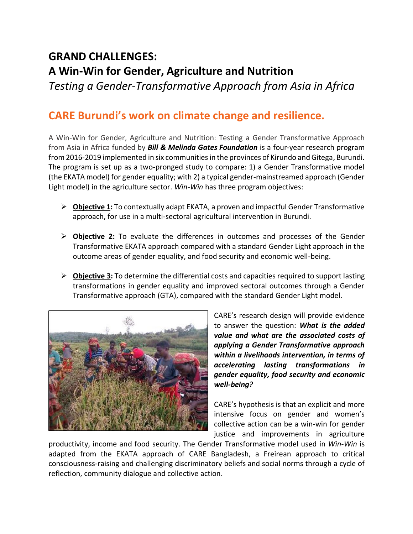## **GRAND CHALLENGES: A Win-Win for Gender, Agriculture and Nutrition**

*Testing a Gender-Transformative Approach from Asia in Africa*

## **CARE Burundi's work on climate change and resilience.**

A Win-Win for Gender, Agriculture and Nutrition: Testing a Gender Transformative Approach from Asia in Africa funded by *Bill & Melinda Gates Foundation* is a four-year research program from 2016-2019 implemented in six communities in the provinces of Kirundo and Gitega, Burundi. The program is set up as a two-pronged study to compare: 1) a Gender Transformative model (the EKATA model) for gender equality; with 2) a typical gender-mainstreamed approach (Gender Light model) in the agriculture sector. *Win-Win* has three program objectives:

- ➢ **Objective 1:** To contextually adapt EKATA, a proven and impactful Gender Transformative approach, for use in a multi-sectoral agricultural intervention in Burundi.
- ➢ **Objective 2:** To evaluate the differences in outcomes and processes of the Gender Transformative EKATA approach compared with a standard Gender Light approach in the outcome areas of gender equality, and food security and economic well-being.
- ➢ **Objective 3:** To determine the differential costs and capacities required to support lasting transformations in gender equality and improved sectoral outcomes through a Gender Transformative approach (GTA), compared with the standard Gender Light model.



CARE's research design will provide evidence to answer the question: *What is the added value and what are the associated costs of applying a Gender Transformative approach within a livelihoods intervention, in terms of accelerating lasting transformations in gender equality, food security and economic well-being?* 

CARE's hypothesis is that an explicit and more intensive focus on gender and women's collective action can be a win-win for gender justice and improvements in agriculture

productivity, income and food security. The Gender Transformative model used in *Win-Win* is adapted from the EKATA approach of CARE Bangladesh, a Freirean approach to critical consciousness-raising and challenging discriminatory beliefs and social norms through a cycle of reflection, community dialogue and collective action.